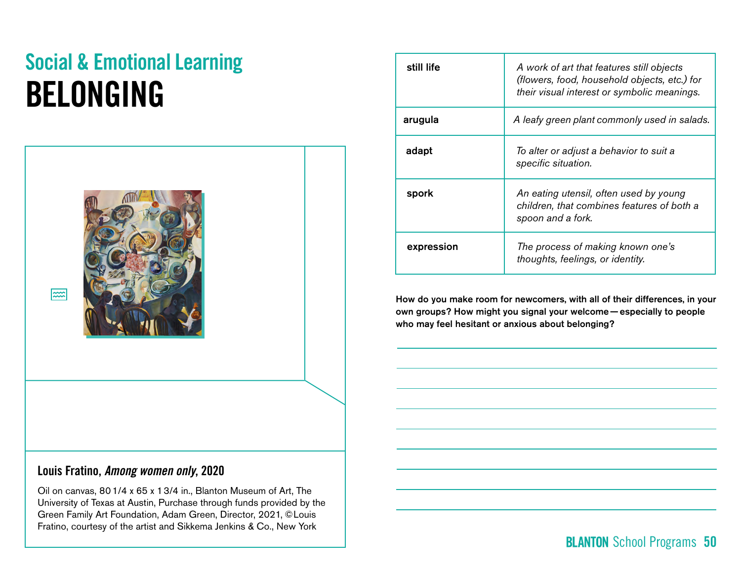# Social & Emotional Learning BELONGING



|  | Louis Fratino, Among women only, 2020 |  |
|--|---------------------------------------|--|
|--|---------------------------------------|--|

Oil on canvas, 80 1/4 x 65 x 1 3/4 in., Blanton Museum of Art, The University of Texas at Austin, Purchase through funds provided by the Green Family Art Foundation, Adam Green, Director, 2021, © Louis Fratino, courtesy of the artist and Sikkema Jenkins & Co., New York

| still life | A work of art that features still objects<br>(flowers, food, household objects, etc.) for<br>their visual interest or symbolic meanings. |  |
|------------|------------------------------------------------------------------------------------------------------------------------------------------|--|
| arugula    | A leafy green plant commonly used in salads.                                                                                             |  |
| adapt      | To alter or adjust a behavior to suit a<br>specific situation.                                                                           |  |
| spork      | An eating utensil, often used by young<br>children, that combines features of both a<br>spoon and a fork.                                |  |
| expression | The process of making known one's<br>thoughts, feelings, or identity.                                                                    |  |

How do you make room for newcomers, with all of their differences, in your own groups? How might you signal your welcome— especially to people who may feel hesitant or anxious about belonging?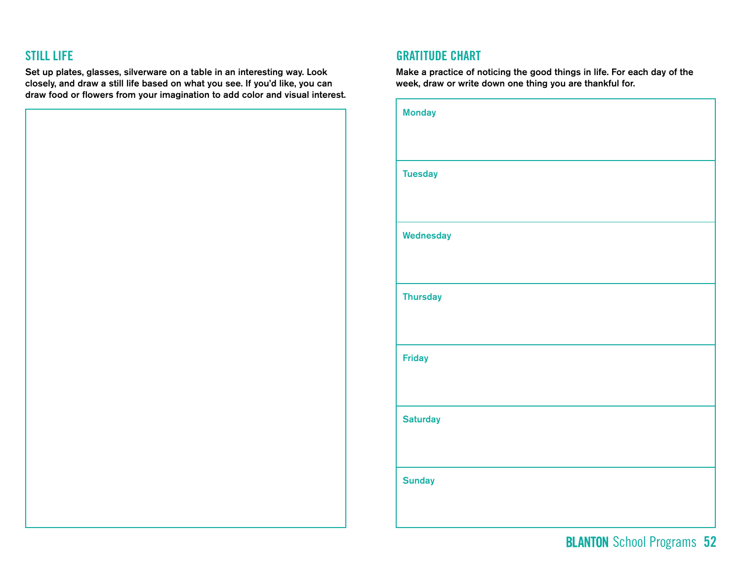Set up plates, glasses, silverware on a table in an interesting way. Look closely, and draw a still life based on what you see. If you'd like, you can draw food or flowers from your imagination to add color and visual interest.

### STILL LIFE GRATITUDE CHART

Make a practice of noticing the good things in life. For each day of the week, draw or write down one thing you are thankful for.

| <b>Monday</b>   |
|-----------------|
|                 |
| <b>Tuesday</b>  |
|                 |
| Wednesday       |
|                 |
| <b>Thursday</b> |
|                 |
| <b>Friday</b>   |
|                 |
| <b>Saturday</b> |
|                 |
| <b>Sunday</b>   |
|                 |